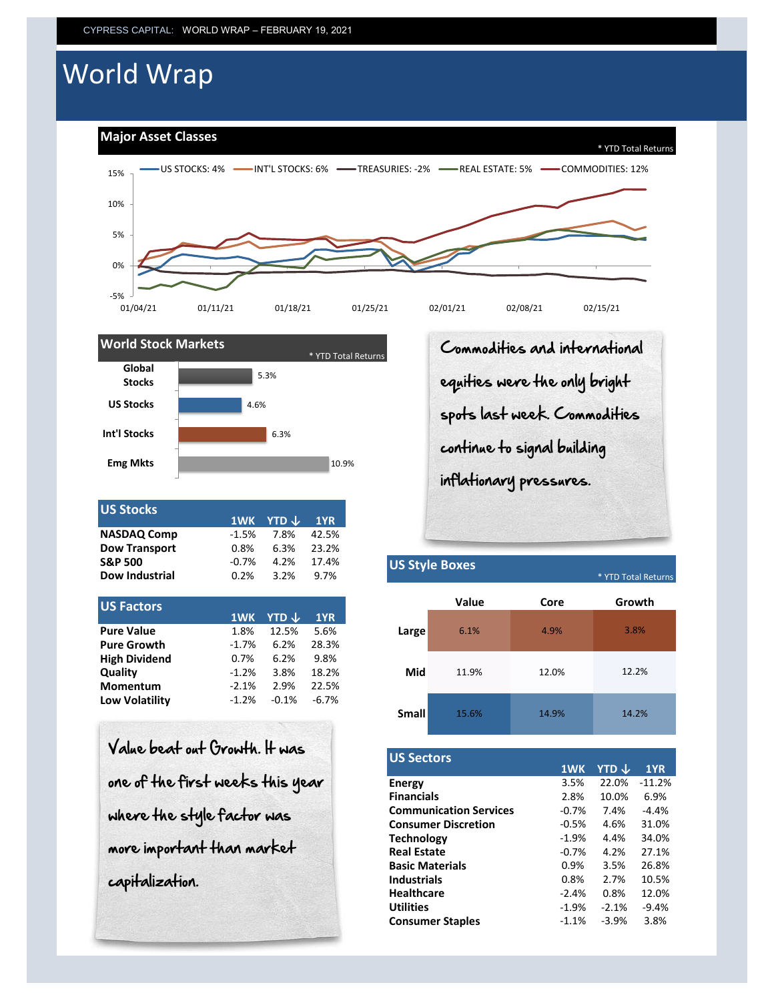# World Wrap

**Major Asset Classes**





|         |      | $-1YR$               |
|---------|------|----------------------|
| $-1.5%$ | 7.8% | 42.5%                |
| 0.8%    | 6.3% | 23.2%                |
| $-0.7%$ | 4.2% | 17.4%                |
| 0.2%    | 3.2% | 9.7%                 |
|         |      | 1WK YTD $\downarrow$ |

| US Factors            |         |         |         |       |
|-----------------------|---------|---------|---------|-------|
|                       | 1WK     | YTD J   | 1YR     |       |
| <b>Pure Value</b>     | 1.8%    | 12.5%   | 5.6%    | Large |
| <b>Pure Growth</b>    | $-1.7%$ | 6.2%    | 28.3%   |       |
| <b>High Dividend</b>  | 0.7%    | 6.2%    | 9.8%    |       |
| Quality               | $-1.2%$ | 3.8%    | 18.2%   | Mid   |
| <b>Momentum</b>       | $-2.1%$ | 2.9%    | 22.5%   |       |
| <b>Low Volatility</b> | $-1.2%$ | $-0.1%$ | $-6.7%$ |       |
|                       |         |         |         |       |

| Value beat out Growth. It was    |
|----------------------------------|
| one of the first weeks this year |
| where the style factor was       |
| more important than market       |
| capitalization.                  |

Commodities and international equities were the only bright spots last week. Commodities continue to signal building inflationary pressures.

# **Dow Industrial** 0.2% 3.2% 9.7% \* YTD Total Returns **Small US Style Boxes** 3.8% **Growth** 11.9% 12.0% 12.2% 15.6% 6.1% 4.9% **Value Core** 14.9% 14.2%

| <b>US Sectors</b>             |         |         |          |
|-------------------------------|---------|---------|----------|
|                               | 1WK     | YTD J   | 1YR      |
| Energy                        | 3.5%    | 22.0%   | $-11.2%$ |
| <b>Financials</b>             | 2.8%    | 10.0%   | 6.9%     |
| <b>Communication Services</b> | $-0.7%$ | 7.4%    | $-4.4%$  |
| <b>Consumer Discretion</b>    | $-0.5%$ | 4.6%    | 31.0%    |
| <b>Technology</b>             | $-1.9%$ | 4.4%    | 34.0%    |
| <b>Real Estate</b>            | $-0.7%$ | 4.2%    | 27.1%    |
| <b>Basic Materials</b>        | 0.9%    | 3.5%    | 26.8%    |
| <b>Industrials</b>            | 0.8%    | 2.7%    | 10.5%    |
| <b>Healthcare</b>             | $-2.4%$ | 0.8%    | 12.0%    |
| <b>Utilities</b>              | $-1.9%$ | $-2.1%$ | $-9.4%$  |
| <b>Consumer Staples</b>       | $-1.1%$ | $-3.9%$ | 3.8%     |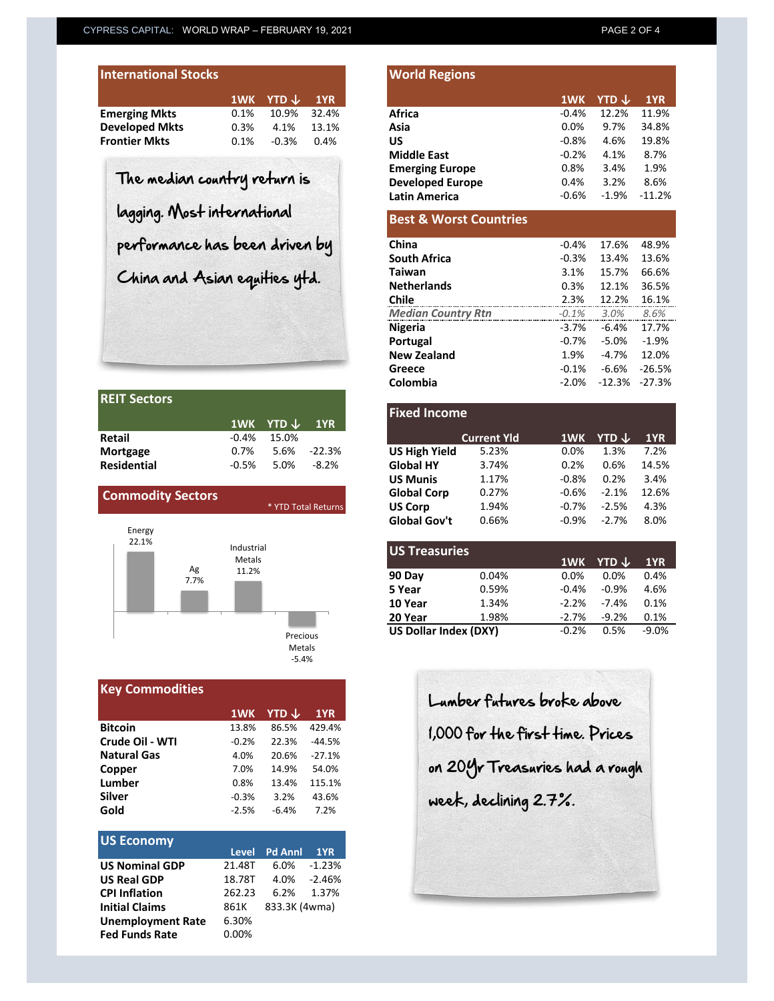| <b>International Stocks</b> |         |                          |       |
|-----------------------------|---------|--------------------------|-------|
|                             |         | 1WK YTD $\downarrow$ 1YR |       |
| <b>Emerging Mkts</b>        | $0.1\%$ | 10.9%                    | 32.4% |
| <b>Developed Mkts</b>       | 0.3%    | 4.1%                     | 13.1% |
| <b>Frontier Mkts</b>        | $0.1\%$ | $-0.3%$                  | 0.4%  |

| <b>REIT Sectors</b> |         |                          |             |
|---------------------|---------|--------------------------|-------------|
|                     |         | 1WK YTD $\downarrow$ 1YR |             |
| Retail              |         | $-0.4\%$ 15.0%           |             |
| <b>Mortgage</b>     | $0.7\%$ |                          | 5.6% -22.3% |
| <b>Residential</b>  | $-0.5%$ | 5.0% -8.2%               |             |

| <b>Commodity Sectors</b>      | * YTD Total Returns                                            |
|-------------------------------|----------------------------------------------------------------|
| Energy<br>22.1%<br>Ag<br>7.7% | Industrial<br>Metals<br>11.2%<br>Precious<br>Metals<br>$-5.4%$ |

| <b>Key Commodities</b> |         |         |          |
|------------------------|---------|---------|----------|
|                        | 1WK     | YTD ↓   | 1YR      |
| <b>Bitcoin</b>         | 13.8%   | 86.5%   | 429.4%   |
| Crude Oil - WTI        | $-0.2%$ | 22.3%   | $-44.5%$ |
| <b>Natural Gas</b>     | 4.0%    | 20.6%   | $-27.1%$ |
| Copper                 | 7.0%    | 14.9%   | 54.0%    |
| Lumber                 | 0.8%    | 13.4%   | 115.1%   |
| Silver                 | $-0.3%$ | 3.2%    | 43.6%    |
| Gold                   | $-2.5%$ | $-6.4%$ | 7.2%     |

| <b>US Economy</b>        |        |                |          |
|--------------------------|--------|----------------|----------|
|                          | Level  | <b>Pd Anni</b> | 1YR      |
| <b>US Nominal GDP</b>    | 21.48T | 6.0%           | $-1.23%$ |
| <b>US Real GDP</b>       | 18.78T | 4.0%           | -2.46%   |
| <b>CPI Inflation</b>     | 262.23 | 6.2%           | 1.37%    |
| <b>Initial Claims</b>    | 861K   | 833.3K (4wma)  |          |
| <b>Unemployment Rate</b> | 6.30%  |                |          |
| <b>Fed Funds Rate</b>    | 0.00%  |                |          |

| <b>International Stocks</b>    |      |                  |       | <b>World Regions</b>              |          |                         |          |
|--------------------------------|------|------------------|-------|-----------------------------------|----------|-------------------------|----------|
|                                | 1WK  | YTD $\downarrow$ | 1YR   |                                   | 1WK      | <b>YTD</b> $\downarrow$ | 1YR      |
| Emerging Mkts                  | 0.1% | 10.9%            | 32.4% | <b>Africa</b>                     | $-0.4%$  | 12.2%                   | 11.9%    |
| <b>Developed Mkts</b>          | 0.3% | 4.1%             | 13.1% | Asia                              | 0.0%     | 9.7%                    | 34.8%    |
| <b>Frontier Mkts</b>           | 0.1% | $-0.3%$          | 0.4%  | <b>US</b>                         | $-0.8%$  | 4.6%                    | 19.8%    |
|                                |      |                  |       | <b>Middle East</b>                | $-0.2%$  | 4.1%                    | 8.7%     |
|                                |      |                  |       | <b>Emerging Europe</b>            | 0.8%     | 3.4%                    | 1.9%     |
| The median country return is   |      |                  |       | <b>Developed Europe</b>           | 0.4%     | 3.2%                    | 8.6%     |
|                                |      |                  |       | <b>Latin America</b>              | $-0.6%$  | $-1.9\%$                | $-11.2%$ |
| lagging. Most international    |      |                  |       | <b>Best &amp; Worst Countries</b> |          |                         |          |
| performance has been driven by |      |                  |       | China                             | $-0.4%$  | 17.6%                   | 48.9%    |
|                                |      |                  |       | <b>South Africa</b>               | $-0.3%$  | 13.4%                   | 13.6%    |
| China and Asian equities ytd.  |      |                  |       | <b>Taiwan</b>                     | 3.1%     | 15.7%                   | 66.6%    |
|                                |      |                  |       | <b>Netherlands</b>                | 0.3%     | 12.1%                   | 36.5%    |
|                                |      |                  |       | <b>Chile</b>                      | 2.3%     | 12.2%                   | 16.1%    |
|                                |      |                  |       | <b>Median Country Rtn</b>         | $-0.1%$  | 3.0%                    | 8.6%     |
|                                |      |                  |       | <b>Nigeria</b>                    | $-3.7%$  | $-6.4%$                 | 17.7%    |
|                                |      |                  |       | Portugal                          | $-0.7\%$ | $-5.0%$                 | $-1.9%$  |
|                                |      |                  |       | <b>New Zealand</b>                | 1.9%     | $-4.7%$                 | 12.0%    |
|                                |      |                  |       | Greece                            | $-0.1%$  | $-6.6%$                 | $-26.5%$ |

|                          | 1WK     | <b>YTD</b> $\downarrow$ | 1YR                 | <b>Fixed Income</b>  |                    |          |
|--------------------------|---------|-------------------------|---------------------|----------------------|--------------------|----------|
| Retail                   | $-0.4%$ | 15.0%                   |                     |                      | <b>Current Yld</b> | 1WK      |
| Mortgage                 | 0.7%    | 5.6%                    | $-22.3%$            | <b>US High Yield</b> | 5.23%              | 0.0%     |
| <b>Residential</b>       | $-0.5%$ | 5.0%                    | $-8.2%$             | <b>Global HY</b>     | 3.74%              | 0.2%     |
|                          |         |                         |                     | <b>US Munis</b>      | 1.17%              | $-0.8%$  |
| <b>Commodity Sectors</b> |         |                         |                     | <b>Global Corp</b>   | 0.27%              | $-0.6%$  |
|                          |         |                         | * YTD Total Returns | <b>US Corp</b>       | 1.94%              | $-0.7\%$ |
|                          |         |                         |                     | <b>Global Gov't</b>  | 0.66%              | $-0.9\%$ |

**Colombia** -2.0% -12.3% -27.3%

| <b>IUS Treasuries</b> |       |         |                         |         |
|-----------------------|-------|---------|-------------------------|---------|
|                       |       | 1WK     | <b>YTD</b> $\downarrow$ | 1YR     |
| 90 Day                | 0.04% | 0.0%    | 0.0%                    | 0.4%    |
| 5 Year                | 0.59% | $-0.4%$ | $-0.9%$                 | 4.6%    |
| 10 Year               | 1.34% | $-2.2%$ | $-7.4%$                 | 0.1%    |
| 20 Year               | 1.98% | $-2.7%$ | $-9.2%$                 | 0.1%    |
| US Dollar Index (DXY) |       | $-0.2%$ | 0.5%                    | $-9.0%$ |
|                       |       |         |                         |         |

Lumber futures broke above 1,000 for the first time. Prices on 20Yr Treasuries had a rough week, declining 2.7%.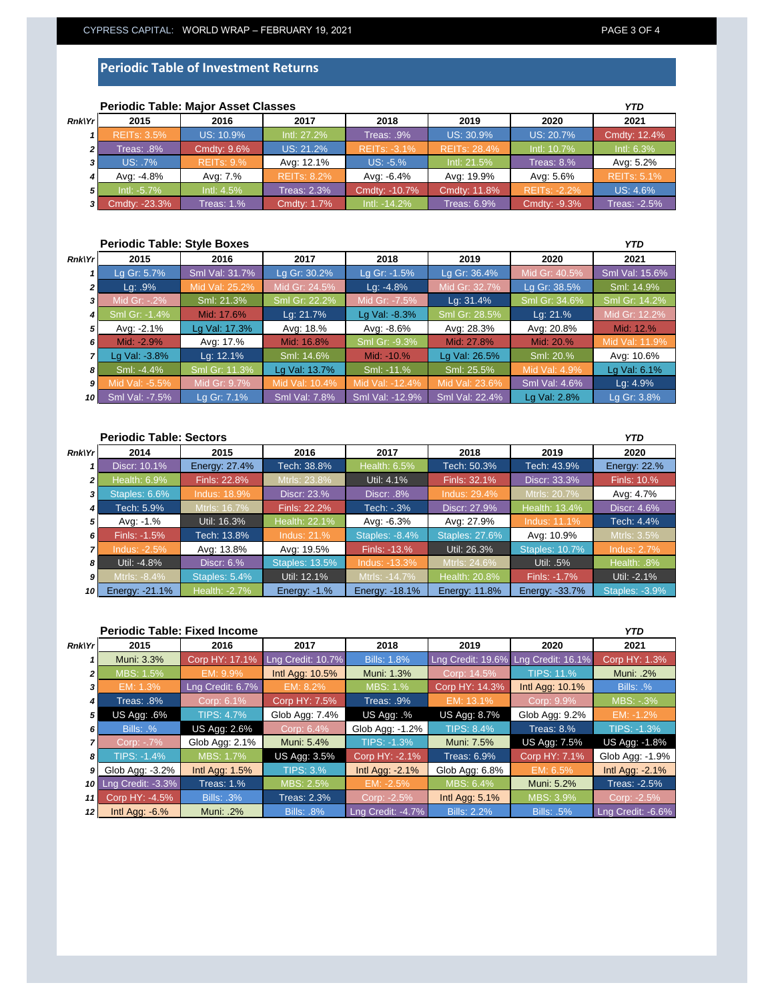### **Periodic Table of Investment Returns**

|                | <b>Periodic Table: Major Asset Classes</b> |                   |                    |                     |                    |                     | YTD                 |
|----------------|--------------------------------------------|-------------------|--------------------|---------------------|--------------------|---------------------|---------------------|
| Rnk Yr         | 2015                                       | 2016              | 2017               | 2018                | 2019               | 2020                | 2021                |
|                | <b>REITs: 3.5%</b>                         | US: 10.9%         | Intl: 27.2%        | Treas: .9%          | US: 30.9%          | US: 20.7%           | Cmdty: 12.4%        |
| 2 <sup>1</sup> | 8%. reas:                                  | Cmdty: 9.6%       | US: 21.2%          | <b>REITS: -3.1%</b> | REITs: 28.4%       | Intl: 10.7%         | Intl: $6.3\%$       |
| $\mathbf{3}$   | US: .7%                                    | <b>REITs: 9.%</b> | Avg: 12.1%         | $US: -5.%$          | Intl: 21.5%        | Treas: $8.%$        | Avg: 5.2%           |
|                | Avg: -4.8%                                 | Avg: 7.%          | <b>REITS: 8.2%</b> | Avg: -6.4%          | Avg: 19.9%         | Avg: 5.6%           | <b>REITs: 5.1%</b>  |
| 5 <sup>1</sup> | $Int: -5.7\%$                              | Intl: 4.5%        | Treas: 2.3%        | Cmdty: -10.7%       | Cmdty: 11.8%       | <b>REITS: -2.2%</b> | US: 4.6%            |
| 3 I            | Cmdty: -23.3%                              | Treas: 1.%        | Cmdty: 1.7%        | Intl: -14.2%        | <b>Treas: 6.9%</b> | Cmdty: -9.3%        | <b>Treas: -2.5%</b> |

## **Periodic Table: Major Asset Classes**

#### **Periodic Table: Style Boxes**

| Rnk Yr         | 2015           | 2016           | 2017           | 2018            | 2019           | 2020          | 2021           |
|----------------|----------------|----------------|----------------|-----------------|----------------|---------------|----------------|
|                | Lg Gr: 5.7%    | Sml Val: 31.7% | Lg Gr: 30.2%   | Lg Gr: -1.5%    | Lg Gr: 36.4%   | Mid Gr: 40.5% | Sml Val: 15.6% |
| 2 <sub>1</sub> | $Lq$ : .9%     | Mid Val: 25.2% | Mid Gr: 24.5%  | $Lq: -4.8%$     | Mid Gr: 32.7%  | Lg Gr: 38.5%  | Sml: 14.9%     |
| 3              | Mid Gr: -.2%   | Sml: 21.3%     | Sml Gr: 22.2%  | Mid Gr: -7.5%   | Lg: 31.4%      | Sml Gr: 34.6% | Sml Gr: 14.2%  |
| 4              | Sml Gr: -1.4%  | Mid: 17.6%     | Lg: 21.7%      | Lg Val: -8.3%   | Sml Gr: 28.5%  | Lg: 21.%      | Mid Gr: 12.2%  |
| 5              | Avg: -2.1%     | Lg Val: 17.3%  | Avg: 18.%      | Avg: -8.6%      | Avg: 28.3%     | Avg: 20.8%    | Mid: 12.%      |
| 6              | Mid: -2.9%     | Avg: 17.%      | Mid: 16.8%     | Sml Gr: -9.3%   | Mid: 27.8%     | Mid: 20.%     | Mid Val: 11.9% |
|                | Lg Val: -3.8%  | Lg: 12.1%      | Sml: 14.6%     | Mid: -10.%      | Lg Val: 26.5%  | Sml: 20.%     | Avg: 10.6%     |
| 8              | Sml: -4.4%     | Sml Gr: 11.3%  | Lg Val: 13.7%  | Sml: -11.%      | Sml: 25.5%     | Mid Val: 4.9% | Lg Val: 6.1%   |
| 9              | Mid Val: -5.5% | Mid Gr: 9.7%   | Mid Val: 10.4% | Mid Val: -12.4% | Mid Val: 23.6% | Sml Val: 4.6% | Lg: 4.9%       |
| 10             | Sml Val: -7.5% | La Gr: 7.1%    | Sml Val: 7.8%  | Sml Val: -12.9% | Sml Val: 22.4% | Lg Val: 2.8%  | Lg Gr: 3.8%    |

#### **Periodic Table: Sectors** *Rnk\Yr 1 2 3 4 5 6 7 8 9 10 YTD* **2014 2015 2016 2017 2018 2019 2020** Tech: 43.9% Energy: 22.% alth: 6.9% Finls: 22.8% Mtrls: 23.8% Util: 4.1% Finls: 32.1% Discr: 33.3% Finls: 10.9 Discr: 10.1% **Energy: 27.4% Tech: 38.8% Health: 6.5% Tech: 50.3%** Avg: 4.7% Tech: 5.9% Mtrls: 16.7% Finls: 22.2% Tech: -.3% Discr: 27.9% Health: 13.4% Discr: 4.6% Staples: 6.6% **| Indus: 18.9% | Discr: 23.% | Discr: .8%** Indus: 11.1% Tech: 4.4% Finls: -1.5% Tech: 13.8% Indus: 21.% Staples: -8.4% Staples: 27.6% Avg: 10.9% Mtrls: 3.5% Avg: -1.% Util: 16.3% Health: 22.1% Avg: -6.3% Avg: 27.9% Staples: 10.7% | Indus: 2.7% Util: -4.8% Discr: 6.% Staples: 13.5% Indus: -13.3% Mtrls: 24.6% Util: .5% Health: .8% ndus: -2.5% Avg: 13.8% Avg: 19.5% Finls: -13.% Util: 26.3% Finls: -1.7% Util: -2.1% Energy: -21.1% | Health: -2.7% | Energy: -1.% | Energy: -18.1% | Energy: 11.8% | Energy: -33.7% | Staples: -3.9% Staples: 5.4% Util: 12.1% Mtrls: -14.7% Health: 20.8%

|                 | <b>Periodic Table: Fixed Income</b> |                   |                     |                    |                       |                     | <b>YTD</b>          |
|-----------------|-------------------------------------|-------------------|---------------------|--------------------|-----------------------|---------------------|---------------------|
| <b>Rnk\Yr</b>   | 2015                                | 2016              | 2017                | 2018               | 2019                  | 2020                | 2021                |
|                 | Muni: 3.3%                          | Corp HY: 17.1%    | Lng Credit: 10.7%   | <b>Bills: 1.8%</b> | Lng Credit: 19.6%     | Lng Credit: 16.1%   | Corp HY: 1.3%       |
| $\overline{2}$  | MBS: 1.5%                           | EM: 9.9%          | Intl Agg: 10.5%     | Muni: 1.3%         | Corp: 14.5%           | <b>TIPS: 11.%</b>   | Muni: .2%           |
| 3               | EM: 1.3%                            | Lng Credit: 6.7%  | EM: 8.2%            | <b>MBS: 1.%</b>    | Corp HY: 14.3%        | Intl Agg: 10.1%     | Bills: .%           |
| 4               | Treas: .8%                          | Corp: 6.1%        | Corp HY: 7.5%       | Treas: .9%         | EM: 13.1%             | Corp: 9.9%          | MBS: -.3%           |
| 5               | US Agg: .6%                         | <b>TIPS: 4.7%</b> | Glob Agg: 7.4%      | US Agg: .%         | <b>US Agg: 8.7%</b>   | Glob Agg: 9.2%      | EM: -1.2%           |
| 6               | Bills: .%                           | US Agg: 2.6%      | Corp: 6.4%          | Glob Agg: -1.2%    | <b>TIPS: 8.4%</b>     | Treas: $8.%$        | <b>TIPS: -1.3%</b>  |
|                 | Corp: -.7%                          | Glob Agg: 2.1%    | Muni: 5.4%          | <b>TIPS: -1.3%</b> | Muni: 7.5%            | <b>US Agg: 7.5%</b> | US Agg: -1.8%       |
| 8               | TIPS: -1.4%                         | MBS: 1.7%         | <b>US Agg: 3.5%</b> | Corp HY: -2.1%     | <b>Treas: 6.9%</b>    | Corp HY: 7.1%       | Glob Agg: -1.9%     |
| 9               | Glob Agg: -3.2%                     | Intl Agg: $1.5%$  | <b>TIPS: 3.%</b>    | Intl Agg: -2.1%    | Glob Agg: 6.8%        | EM: 6.5%            | Intl Agg: $-2.1\%$  |
|                 | <b>10</b> Lng Credit: -3.3%         | Treas: $1.%$      | MBS: 2.5%           | $EM: -2.5%$        | MBS: 6.4%             | Muni: 5.2%          | <b>Treas: -2.5%</b> |
| 11              | Corp HY: -4.5%                      | <b>Bills: .3%</b> | <b>Treas: 2.3%</b>  | Corp: -2.5%        | <b>Intl Agg: 5.1%</b> | MBS: 3.9%           | Corp: -2.5%         |
| 12 <sup>1</sup> | Intl Agg: $-6.%$                    | Muni: .2%         | <b>Bills: .8%</b>   | Lng Credit: -4.7%  | <b>Bills: 2.2%</b>    | <b>Bills: .5%</b>   | Lng Credit: -6.6%   |

*YTD*